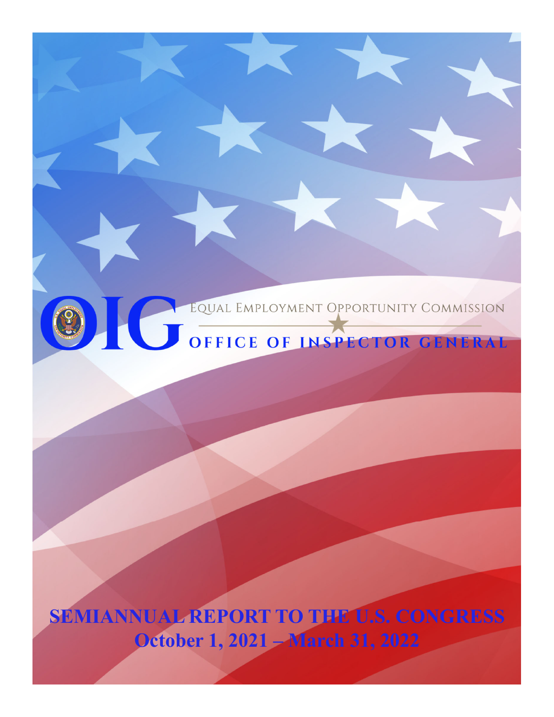

3

**SEMIANNUAL REPORT TO THE U.S. CONGRESS October 1, 2021 – March 31, 2022**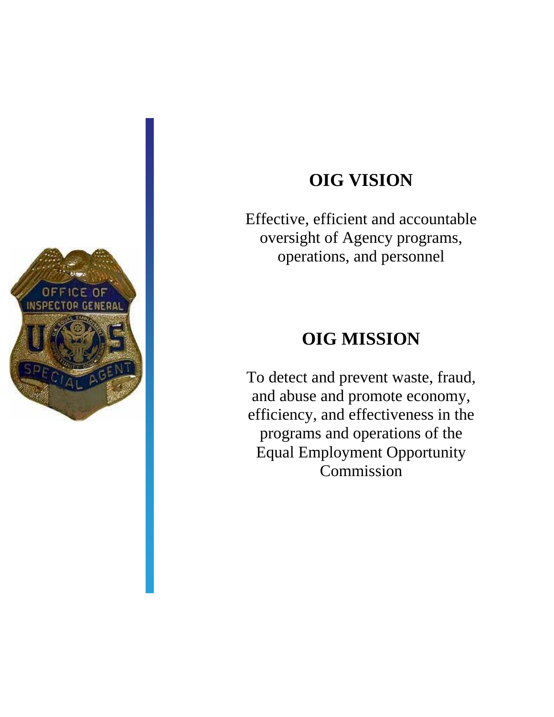

# **OIG VISION**

Effective, efficient and accountable oversight of Agency programs, operations, and personnel

# **OIG MISSION**

To detect and prevent waste, fraud, and abuse and promote economy, efficiency, and effectiveness in the programs and operations of the Equal Employment Opportunity Commission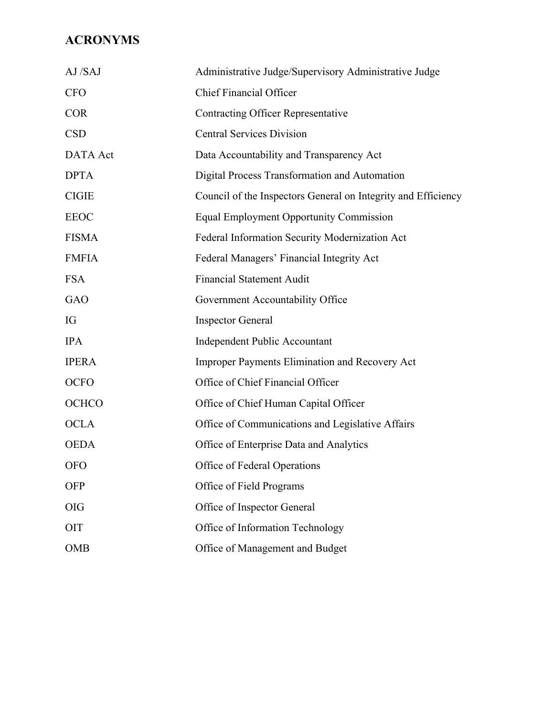# **ACRONYMS**

| AJ/SAJ          | Administrative Judge/Supervisory Administrative Judge         |
|-----------------|---------------------------------------------------------------|
| <b>CFO</b>      | <b>Chief Financial Officer</b>                                |
| <b>COR</b>      | <b>Contracting Officer Representative</b>                     |
| <b>CSD</b>      | <b>Central Services Division</b>                              |
| <b>DATA</b> Act | Data Accountability and Transparency Act                      |
| <b>DPTA</b>     | Digital Process Transformation and Automation                 |
| <b>CIGIE</b>    | Council of the Inspectors General on Integrity and Efficiency |
| <b>EEOC</b>     | <b>Equal Employment Opportunity Commission</b>                |
| <b>FISMA</b>    | Federal Information Security Modernization Act                |
| <b>FMFIA</b>    | Federal Managers' Financial Integrity Act                     |
| <b>FSA</b>      | <b>Financial Statement Audit</b>                              |
| <b>GAO</b>      | Government Accountability Office                              |
| IG              | <b>Inspector General</b>                                      |
| <b>IPA</b>      | Independent Public Accountant                                 |
| <b>IPERA</b>    | Improper Payments Elimination and Recovery Act                |
| <b>OCFO</b>     | Office of Chief Financial Officer                             |
| OCHCO           | Office of Chief Human Capital Officer                         |
| <b>OCLA</b>     | Office of Communications and Legislative Affairs              |
| <b>OEDA</b>     | Office of Enterprise Data and Analytics                       |
| <b>OFO</b>      | Office of Federal Operations                                  |
| <b>OFP</b>      | Office of Field Programs                                      |
| <b>OIG</b>      | Office of Inspector General                                   |
| OIT             | Office of Information Technology                              |
| <b>OMB</b>      | Office of Management and Budget                               |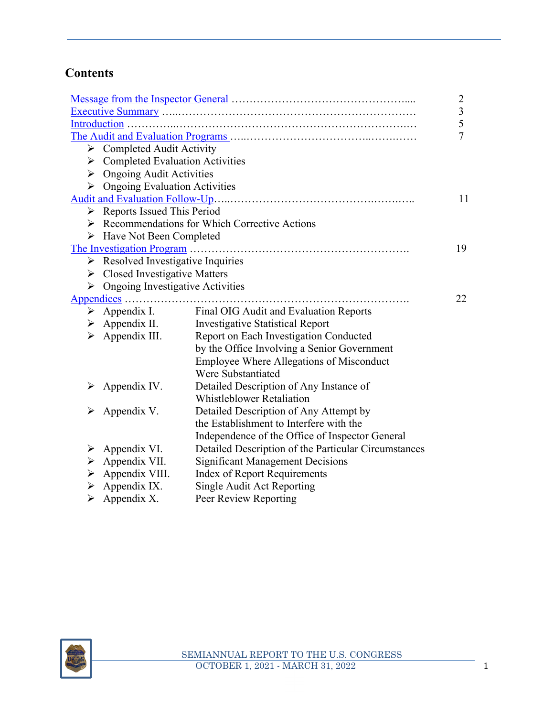# **Contents**

|   |                                                   |                                                               | $\overline{2}$ |
|---|---------------------------------------------------|---------------------------------------------------------------|----------------|
|   |                                                   |                                                               | 3              |
|   |                                                   |                                                               | 5              |
|   |                                                   |                                                               | 7              |
|   | $\triangleright$ Completed Audit Activity         |                                                               |                |
| ➤ | <b>Completed Evaluation Activities</b>            |                                                               |                |
|   | $\triangleright$ Ongoing Audit Activities         |                                                               |                |
| ➤ | <b>Ongoing Evaluation Activities</b>              |                                                               |                |
|   |                                                   |                                                               | 11             |
|   | $\triangleright$ Reports Issued This Period       |                                                               |                |
|   |                                                   | $\triangleright$ Recommendations for Which Corrective Actions |                |
| ➤ | Have Not Been Completed                           |                                                               |                |
|   |                                                   |                                                               | 19             |
|   | $\triangleright$ Resolved Investigative Inquiries |                                                               |                |
|   | $\triangleright$ Closed Investigative Matters     |                                                               |                |
| ➤ | <b>Ongoing Investigative Activities</b>           |                                                               |                |
|   |                                                   |                                                               | 22             |
|   | $\triangleright$ Appendix I.                      | Final OIG Audit and Evaluation Reports                        |                |
|   | $\triangleright$ Appendix II.                     | <b>Investigative Statistical Report</b>                       |                |
| ➤ | Appendix III.                                     | Report on Each Investigation Conducted                        |                |
|   |                                                   | by the Office Involving a Senior Government                   |                |
|   |                                                   | <b>Employee Where Allegations of Misconduct</b>               |                |
|   |                                                   | Were Substantiated                                            |                |
| ➤ | Appendix IV.                                      | Detailed Description of Any Instance of                       |                |
|   |                                                   | <b>Whistleblower Retaliation</b>                              |                |
|   | Appendix V.                                       | Detailed Description of Any Attempt by                        |                |
|   |                                                   | the Establishment to Interfere with the                       |                |
|   |                                                   | Independence of the Office of Inspector General               |                |
| ➤ | Appendix VI.                                      | Detailed Description of the Particular Circumstances          |                |
| ➤ | Appendix VII.                                     | <b>Significant Management Decisions</b>                       |                |
| ➤ | Appendix VIII.                                    | <b>Index of Report Requirements</b>                           |                |
| ➤ | Appendix IX.                                      | Single Audit Act Reporting                                    |                |
| ➤ | Appendix X.                                       | Peer Review Reporting                                         |                |

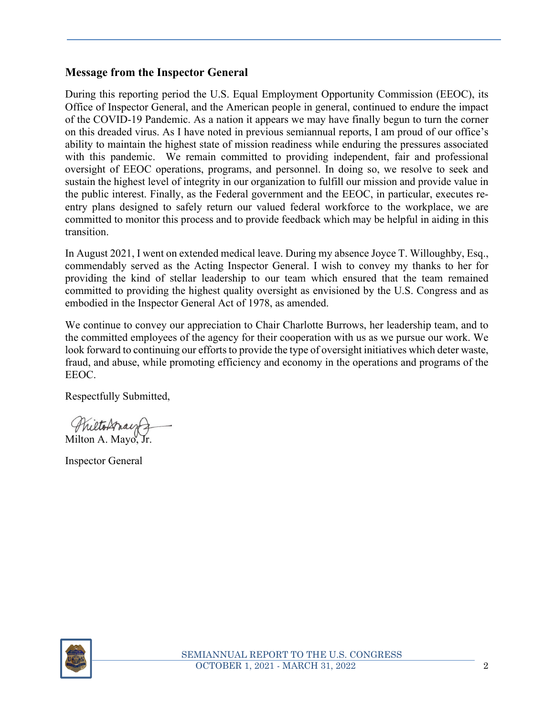#### **Message from the Inspector General**

During this reporting period the U.S. Equal Employment Opportunity Commission (EEOC), its Office of Inspector General, and the American people in general, continued to endure the impact of the COVID-19 Pandemic. As a nation it appears we may have finally begun to turn the corner on this dreaded virus. As I have noted in previous semiannual reports, I am proud of our office's ability to maintain the highest state of mission readiness while enduring the pressures associated with this pandemic. We remain committed to providing independent, fair and professional oversight of EEOC operations, programs, and personnel. In doing so, we resolve to seek and sustain the highest level of integrity in our organization to fulfill our mission and provide value in the public interest. Finally, as the Federal government and the EEOC, in particular, executes reentry plans designed to safely return our valued federal workforce to the workplace, we are committed to monitor this process and to provide feedback which may be helpful in aiding in this transition.

In August 2021, I went on extended medical leave. During my absence Joyce T. Willoughby, Esq., commendably served as the Acting Inspector General. I wish to convey my thanks to her for providing the kind of stellar leadership to our team which ensured that the team remained committed to providing the highest quality oversight as envisioned by the U.S. Congress and as embodied in the Inspector General Act of 1978, as amended.

We continue to convey our appreciation to Chair Charlotte Burrows, her leadership team, and to the committed employees of the agency for their cooperation with us as we pursue our work. We look forward to continuing our efforts to provide the type of oversight initiatives which deter waste, fraud, and abuse, while promoting efficiency and economy in the operations and programs of the EEOC.

Respectfully Submitted,

reltospar Milton A. Mayo,

Inspector General

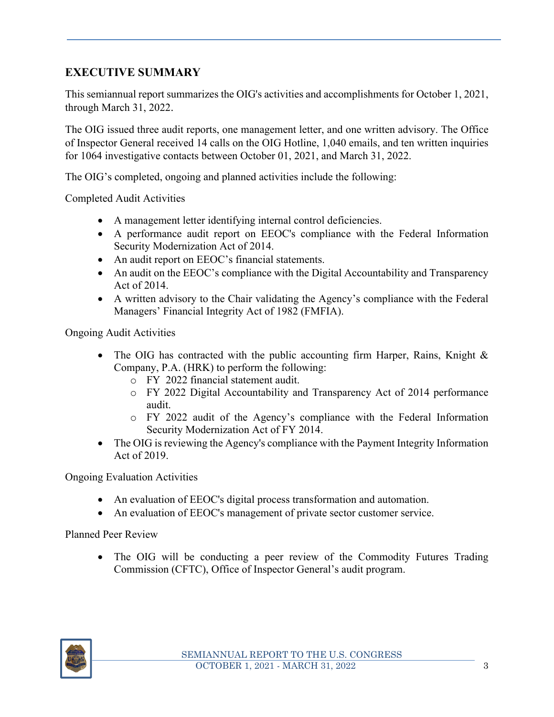# **EXECUTIVE SUMMARY**

This semiannual report summarizes the OIG's activities and accomplishments for October 1, 2021, through March 31, 2022.

The OIG issued three audit reports, one management letter, and one written advisory. The Office of Inspector General received 14 calls on the OIG Hotline, 1,040 emails, and ten written inquiries for 1064 investigative contacts between October 01, 2021, and March 31, 2022.

The OIG's completed, ongoing and planned activities include the following:

Completed Audit Activities

- A management letter identifying internal control deficiencies.
- A performance audit report on EEOC's compliance with the Federal Information Security Modernization Act of 2014.
- An audit report on EEOC's financial statements.
- An audit on the EEOC's compliance with the Digital Accountability and Transparency Act of 2014.
- A written advisory to the Chair validating the Agency's compliance with the Federal Managers' Financial Integrity Act of 1982 (FMFIA).

Ongoing Audit Activities

- The OIG has contracted with the public accounting firm Harper, Rains, Knight  $\&$ Company, P.A. (HRK) to perform the following:
	- o FY 2022 financial statement audit.
	- o FY 2022 Digital Accountability and Transparency Act of 2014 performance audit.
	- o FY 2022 audit of the Agency's compliance with the Federal Information Security Modernization Act of FY 2014.
- The OIG is reviewing the Agency's compliance with the Payment Integrity Information Act of 2019.

Ongoing Evaluation Activities

- An evaluation of EEOC's digital process transformation and automation.
- An evaluation of EEOC's management of private sector customer service.

Planned Peer Review

• The OIG will be conducting a peer review of the Commodity Futures Trading Commission (CFTC), Office of Inspector General's audit program.

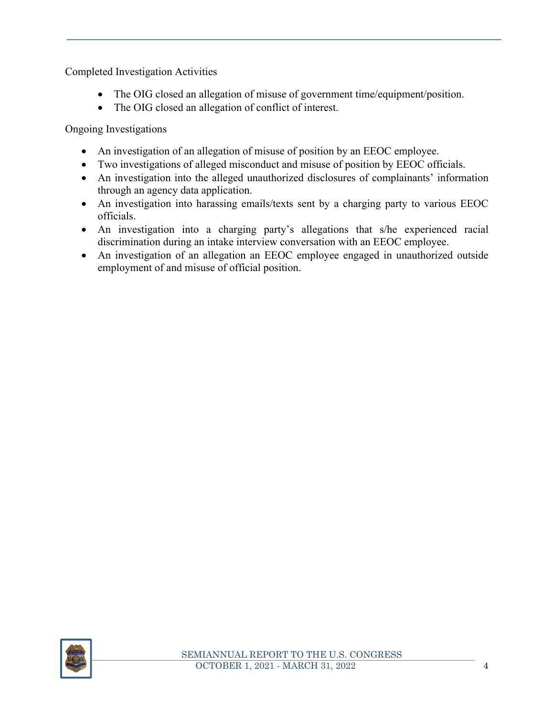Completed Investigation Activities

- The OIG closed an allegation of misuse of government time/equipment/position.
- The OIG closed an allegation of conflict of interest.

Ongoing Investigations

- An investigation of an allegation of misuse of position by an EEOC employee.
- Two investigations of alleged misconduct and misuse of position by EEOC officials.
- An investigation into the alleged unauthorized disclosures of complainants' information through an agency data application.
- An investigation into harassing emails/texts sent by a charging party to various EEOC officials.
- An investigation into a charging party's allegations that s/he experienced racial discrimination during an intake interview conversation with an EEOC employee.
- An investigation of an allegation an EEOC employee engaged in unauthorized outside employment of and misuse of official position.

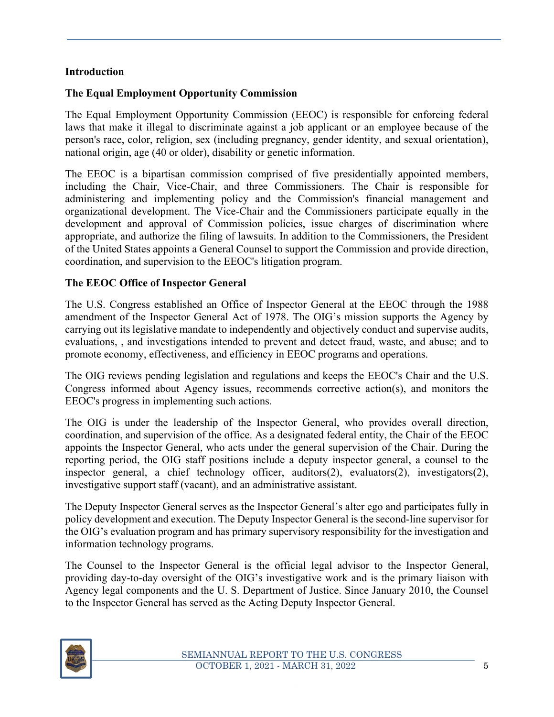#### **Introduction**

#### **The Equal Employment Opportunity Commission**

The Equal Employment Opportunity Commission (EEOC) is responsible for enforcing federal laws that make it illegal to discriminate against a job applicant or an employee because of the person's race, color, religion, sex (including pregnancy, gender identity, and sexual orientation), national origin, age (40 or older), disability or genetic information.

The EEOC is a bipartisan commission comprised of five presidentially appointed members, including the Chair, Vice-Chair, and three Commissioners. The Chair is responsible for administering and implementing policy and the Commission's financial management and organizational development. The Vice-Chair and the Commissioners participate equally in the development and approval of Commission policies, issue charges of discrimination where appropriate, and authorize the filing of lawsuits. In addition to the Commissioners, the President of the United States appoints a General Counsel to support the Commission and provide direction, coordination, and supervision to the EEOC's litigation program.

#### **The EEOC Office of Inspector General**

The U.S. Congress established an Office of Inspector General at the EEOC through the 1988 amendment of the Inspector General Act of 1978. The OIG's mission supports the Agency by carrying out its legislative mandate to independently and objectively conduct and supervise audits, evaluations, , and investigations intended to prevent and detect fraud, waste, and abuse; and to promote economy, effectiveness, and efficiency in EEOC programs and operations.

The OIG reviews pending legislation and regulations and keeps the EEOC's Chair and the U.S. Congress informed about Agency issues, recommends corrective action(s), and monitors the EEOC's progress in implementing such actions.

The OIG is under the leadership of the Inspector General, who provides overall direction, coordination, and supervision of the office. As a designated federal entity, the Chair of the EEOC appoints the Inspector General, who acts under the general supervision of the Chair. During the reporting period, the OIG staff positions include a deputy inspector general, a counsel to the inspector general, a chief technology officer, auditors(2), evaluators(2), investigators(2), investigative support staff (vacant), and an administrative assistant.

The Deputy Inspector General serves as the Inspector General's alter ego and participates fully in policy development and execution. The Deputy Inspector General is the second-line supervisor for the OIG's evaluation program and has primary supervisory responsibility for the investigation and information technology programs.

The Counsel to the Inspector General is the official legal advisor to the Inspector General, providing day-to-day oversight of the OIG's investigative work and is the primary liaison with Agency legal components and the U. S. Department of Justice. Since January 2010, the Counsel to the Inspector General has served as the Acting Deputy Inspector General.

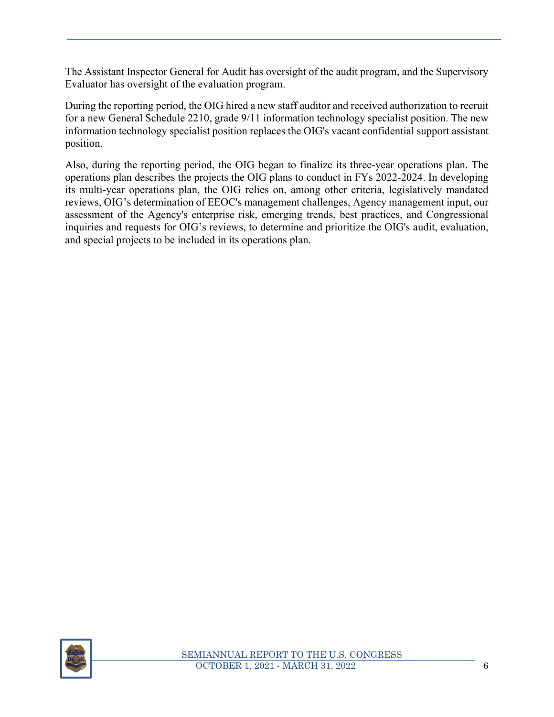The Assistant Inspector General for Audit has oversight of the audit program, and the Supervisory Evaluator has oversight of the evaluation program.

During the reporting period, the OIG hired a new staff auditor and received authorization to recruit for a new General Schedule 2210, grade 9/11 information technology specialist position. The new information technology specialist position replaces the OIG's vacant confidential support assistant position.

Also, during the reporting period, the OIG began to finalize its three-year operations plan. The operations plan describes the projects the OIG plans to conduct in FYs 2022-2024. In developing its multi-year operations plan, the OIG relies on, among other criteria, legislatively mandated reviews, OIG's determination of EEOC's management challenges, Agency management input, our assessment of the Agency's enterprise risk, emerging trends, best practices, and Congressional inquiries and requests for OIG's reviews, to determine and prioritize the OIG's audit, evaluation, and special projects to be included in its operations plan.

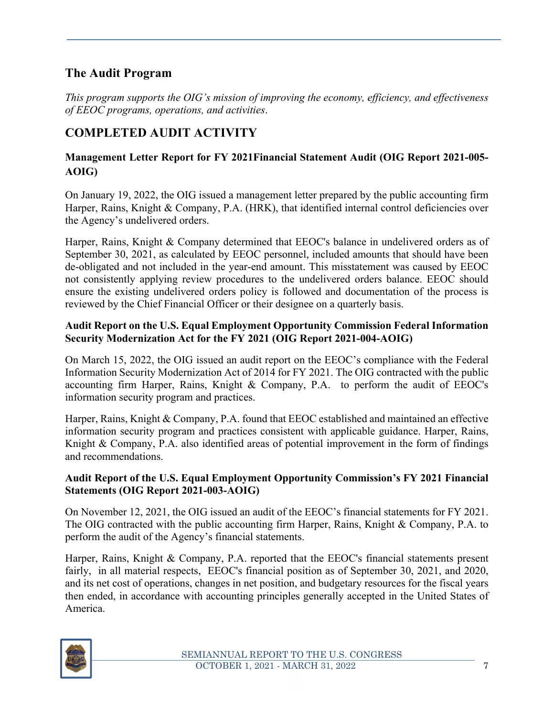# **The Audit Program**

*This program supports the OIG's mission of improving the economy, efficiency, and effectiveness of EEOC programs, operations, and activities*.

# **COMPLETED AUDIT ACTIVITY**

#### **Management Letter Report for FY 2021Financial Statement Audit (OIG Report 2021-005- AOIG)**

On January 19, 2022, the OIG issued a management letter prepared by the public accounting firm Harper, Rains, Knight & Company, P.A. (HRK), that identified internal control deficiencies over the Agency's undelivered orders.

Harper, Rains, Knight & Company determined that EEOC's balance in undelivered orders as of September 30, 2021, as calculated by EEOC personnel, included amounts that should have been de-obligated and not included in the year-end amount. This misstatement was caused by EEOC not consistently applying review procedures to the undelivered orders balance. EEOC should ensure the existing undelivered orders policy is followed and documentation of the process is reviewed by the Chief Financial Officer or their designee on a quarterly basis.

#### **Audit Report on the U.S. Equal Employment Opportunity Commission Federal Information Security Modernization Act for the FY 2021 (OIG Report 2021-004-AOIG)**

On March 15, 2022, the OIG issued an audit report on the EEOC's compliance with the Federal Information Security Modernization Act of 2014 for FY 2021. The OIG contracted with the public accounting firm Harper, Rains, Knight & Company, P.A. to perform the audit of EEOC's information security program and practices.

Harper, Rains, Knight & Company, P.A. found that EEOC established and maintained an effective information security program and practices consistent with applicable guidance. Harper, Rains, Knight & Company, P.A. also identified areas of potential improvement in the form of findings and recommendations.

#### **Audit Report of the U.S. Equal Employment Opportunity Commission's FY 2021 Financial Statements (OIG Report 2021-003-AOIG)**

On November 12, 2021, the OIG issued an audit of the EEOC's financial statements for FY 2021. The OIG contracted with the public accounting firm Harper, Rains, Knight & Company, P.A. to perform the audit of the Agency's financial statements.

Harper, Rains, Knight & Company, P.A. reported that the EEOC's financial statements present fairly, in all material respects, EEOC's financial position as of September 30, 2021, and 2020, and its net cost of operations, changes in net position, and budgetary resources for the fiscal years then ended, in accordance with accounting principles generally accepted in the United States of America.

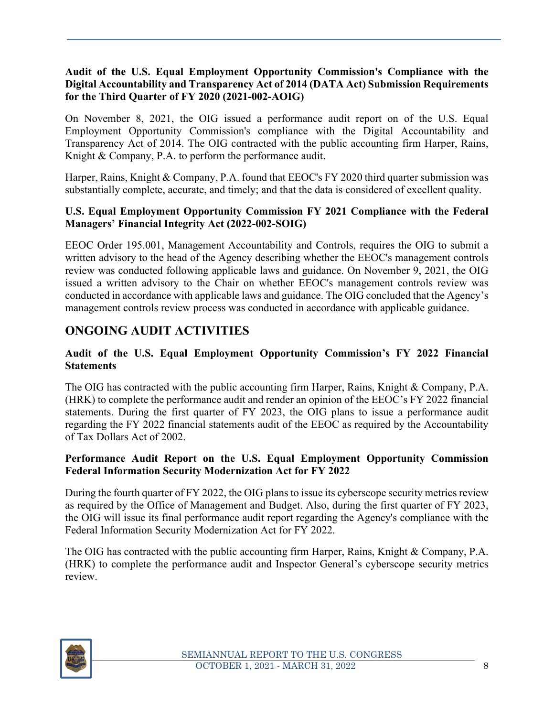#### **Audit of the U.S. Equal Employment Opportunity Commission's Compliance with the Digital Accountability and Transparency Act of 2014 (DATA Act) Submission Requirements for the Third Quarter of FY 2020 (2021-002-AOIG)**

On November 8, 2021, the OIG issued a performance audit report on of the U.S. Equal Employment Opportunity Commission's compliance with the Digital Accountability and Transparency Act of 2014. The OIG contracted with the public accounting firm Harper, Rains, Knight & Company, P.A. to perform the performance audit.

Harper, Rains, Knight & Company, P.A. found that EEOC's FY 2020 third quarter submission was substantially complete, accurate, and timely; and that the data is considered of excellent quality.

#### **U.S. Equal Employment Opportunity Commission FY 2021 Compliance with the Federal Managers' Financial Integrity Act (2022-002-SOIG)**

EEOC Order 195.001, Management Accountability and Controls, requires the OIG to submit a written advisory to the head of the Agency describing whether the EEOC's management controls review was conducted following applicable laws and guidance. On November 9, 2021, the OIG issued a written advisory to the Chair on whether EEOC's management controls review was conducted in accordance with applicable laws and guidance. The OIG concluded that the Agency's management controls review process was conducted in accordance with applicable guidance.

# **ONGOING AUDIT ACTIVITIES**

#### **Audit of the U.S. Equal Employment Opportunity Commission's FY 2022 Financial Statements**

The OIG has contracted with the public accounting firm Harper, Rains, Knight & Company, P.A. (HRK) to complete the performance audit and render an opinion of the EEOC's FY 2022 financial statements. During the first quarter of FY 2023, the OIG plans to issue a performance audit regarding the FY 2022 financial statements audit of the EEOC as required by the Accountability of Tax Dollars Act of 2002.

#### **Performance Audit Report on the U.S. Equal Employment Opportunity Commission Federal Information Security Modernization Act for FY 2022**

During the fourth quarter of FY 2022, the OIG plans to issue its cyberscope security metrics review as required by the Office of Management and Budget. Also, during the first quarter of FY 2023, the OIG will issue its final performance audit report regarding the Agency's compliance with the Federal Information Security Modernization Act for FY 2022.

The OIG has contracted with the public accounting firm Harper, Rains, Knight & Company, P.A. (HRK) to complete the performance audit and Inspector General's cyberscope security metrics review.

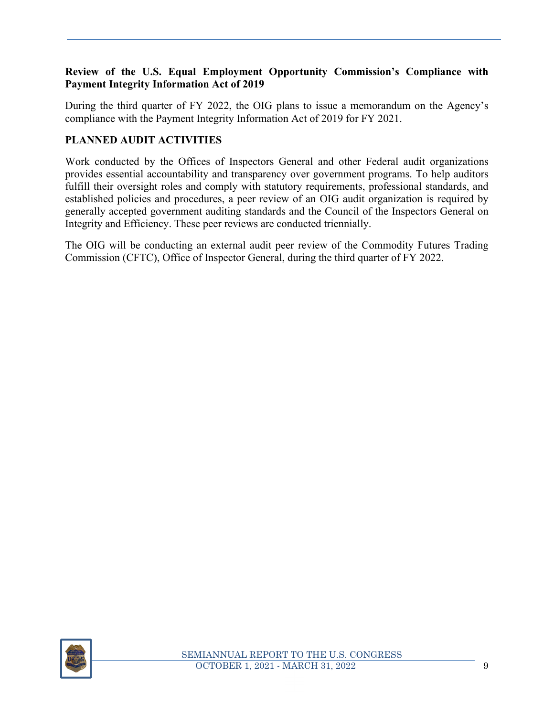#### **Review of the U.S. Equal Employment Opportunity Commission's Compliance with Payment Integrity Information Act of 2019**

During the third quarter of FY 2022, the OIG plans to issue a memorandum on the Agency's compliance with the Payment Integrity Information Act of 2019 for FY 2021.

#### **PLANNED AUDIT ACTIVITIES**

Work conducted by the Offices of Inspectors General and other Federal audit organizations provides essential accountability and transparency over government programs. To help auditors fulfill their oversight roles and comply with statutory requirements, professional standards, and established policies and procedures, a peer review of an OIG audit organization is required by generally accepted government auditing standards and the Council of the Inspectors General on Integrity and Efficiency. These peer reviews are conducted triennially.

The OIG will be conducting an external audit peer review of the Commodity Futures Trading Commission (CFTC), Office of Inspector General, during the third quarter of FY 2022.

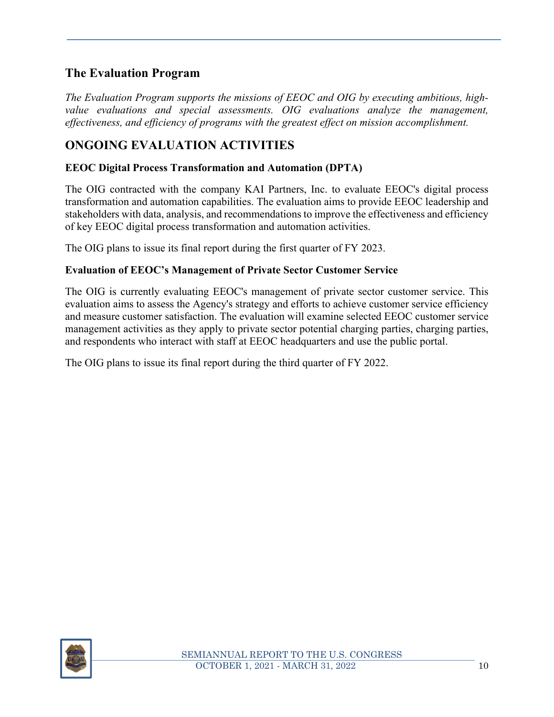# **The Evaluation Program**

*The Evaluation Program supports the missions of EEOC and OIG by executing ambitious, high*value evaluations and special assessments. OIG evaluations analyze the management, *effectiveness, and efficiency of programs with the greatest effect on mission accomplishment.* 

# **ONGOING EVALUATION ACTIVITIES**

#### **EEOC Digital Process Transformation and Automation (DPTA)**

The OIG contracted with the company KAI Partners, Inc. to evaluate EEOC's digital process transformation and automation capabilities. The evaluation aims to provide EEOC leadership and stakeholders with data, analysis, and recommendations to improve the effectiveness and efficiency of key EEOC digital process transformation and automation activities.

The OIG plans to issue its final report during the first quarter of FY 2023.

#### **Evaluation of EEOC's Management of Private Sector Customer Service**

The OIG is currently evaluating EEOC's management of private sector customer service. This evaluation aims to assess the Agency's strategy and efforts to achieve customer service efficiency and measure customer satisfaction. The evaluation will examine selected EEOC customer service management activities as they apply to private sector potential charging parties, charging parties, and respondents who interact with staff at EEOC headquarters and use the public portal.

The OIG plans to issue its final report during the third quarter of FY 2022.

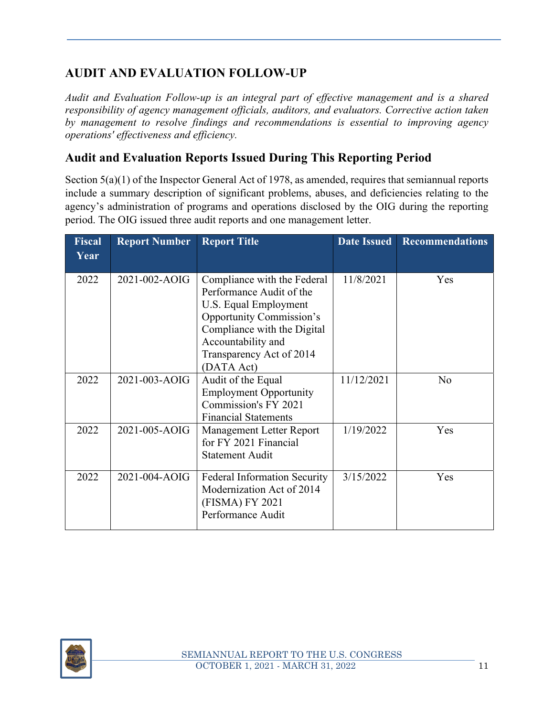# **AUDIT AND EVALUATION FOLLOW-UP**

*Audit and Evaluation Follow-up is an integral part of effective management and is a shared responsibility of agency management officials, auditors, and evaluators. Corrective action taken by management to resolve findings and recommendations is essential to improving agency operations' effectiveness and efficiency.* 

# **Audit and Evaluation Reports Issued During This Reporting Period**

Section  $5(a)(1)$  of the Inspector General Act of 1978, as amended, requires that semiannual reports include a summary description of significant problems, abuses, and deficiencies relating to the agency's administration of programs and operations disclosed by the OIG during the reporting period. The OIG issued three audit reports and one management letter.

| <b>Fiscal</b><br>Year | <b>Report Number</b> | <b>Report Title</b>                                                                                                                                                                                                | <b>Date Issued</b> | <b>Recommendations</b> |
|-----------------------|----------------------|--------------------------------------------------------------------------------------------------------------------------------------------------------------------------------------------------------------------|--------------------|------------------------|
| 2022                  | 2021-002-AOIG        | Compliance with the Federal<br>Performance Audit of the<br>U.S. Equal Employment<br><b>Opportunity Commission's</b><br>Compliance with the Digital<br>Accountability and<br>Transparency Act of 2014<br>(DATA Act) | 11/8/2021          | Yes                    |
| 2022                  | 2021-003-AOIG        | Audit of the Equal<br><b>Employment Opportunity</b><br>Commission's FY 2021<br><b>Financial Statements</b>                                                                                                         | 11/12/2021         | No                     |
| 2022                  | 2021-005-AOIG        | Management Letter Report<br>for FY 2021 Financial<br><b>Statement Audit</b>                                                                                                                                        | 1/19/2022          | Yes                    |
| 2022                  | 2021-004-AOIG        | <b>Federal Information Security</b><br>Modernization Act of 2014<br>(FISMA) FY 2021<br>Performance Audit                                                                                                           | 3/15/2022          | Yes                    |

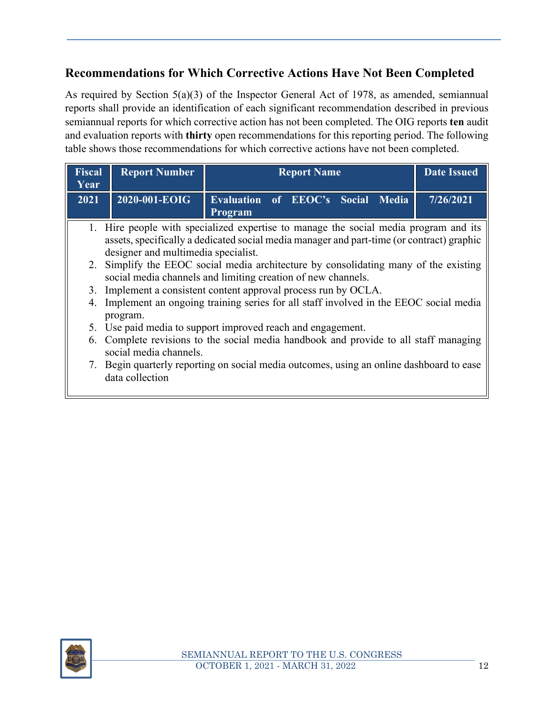# **Recommendations for Which Corrective Actions Have Not Been Completed**

As required by Section 5(a)(3) of the Inspector General Act of 1978, as amended, semiannual reports shall provide an identification of each significant recommendation described in previous semiannual reports for which corrective action has not been completed. The OIG reports **ten** audit and evaluation reports with **thirty** open recommendations for this reporting period. The following table shows those recommendations for which corrective actions have not been completed.

| Fiscal<br>Year | <b>Report Number</b>                                                                                                                                                                                                     | <b>Report Name</b>                                                                       | <b>Date Issued</b> |  |
|----------------|--------------------------------------------------------------------------------------------------------------------------------------------------------------------------------------------------------------------------|------------------------------------------------------------------------------------------|--------------------|--|
| 2021           | $2020 - 001 - EOIG$                                                                                                                                                                                                      | Evaluation of EEOC's Social Media<br>Program                                             | 7/26/2021          |  |
|                | 1. Hire people with specialized expertise to manage the social media program and its<br>assets, specifically a dedicated social media manager and part-time (or contract) graphic<br>designer and multimedia specialist. |                                                                                          |                    |  |
|                | 2. Simplify the EEOC social media architecture by consolidating many of the existing<br>social media channels and limiting creation of new channels.                                                                     |                                                                                          |                    |  |
|                | 3. Implement a consistent content approval process run by OCLA.                                                                                                                                                          |                                                                                          |                    |  |
| 4.             | Implement an ongoing training series for all staff involved in the EEOC social media<br>program.                                                                                                                         |                                                                                          |                    |  |
|                | 5. Use paid media to support improved reach and engagement.                                                                                                                                                              |                                                                                          |                    |  |
|                | social media channels.                                                                                                                                                                                                   | 6. Complete revisions to the social media handbook and provide to all staff managing     |                    |  |
|                | data collection                                                                                                                                                                                                          | 7. Begin quarterly reporting on social media outcomes, using an online dashboard to ease |                    |  |

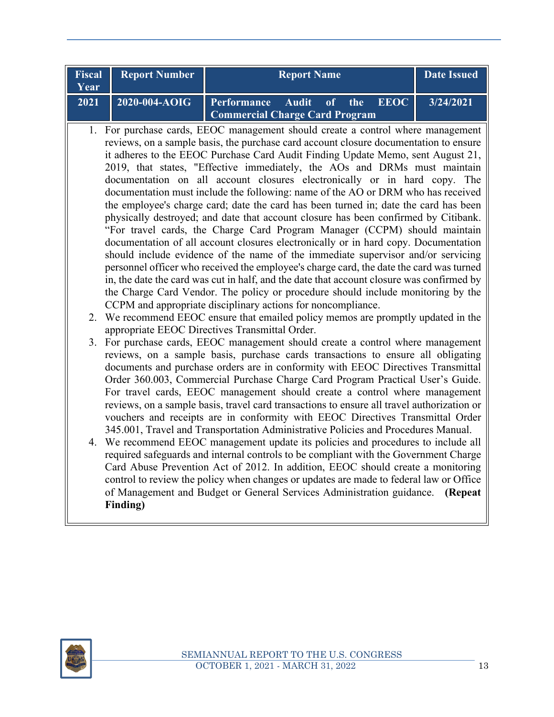| Year              | <b>Fiscal Report Number</b> | <b>Report Name</b>                                                     | <b>Date Issued</b> |
|-------------------|-----------------------------|------------------------------------------------------------------------|--------------------|
| $\overline{2021}$ | $12020 - 004 - A OIG$       | <b>Performance Audit of the EEOC</b><br>Commercial Charge Card Program | 3/24/2021          |

- 1. For purchase cards, EEOC management should create a control where management reviews, on a sample basis, the purchase card account closure documentation to ensure it adheres to the EEOC Purchase Card Audit Finding Update Memo, sent August 21, 2019, that states, "Effective immediately, the AOs and DRMs must maintain documentation on all account closures electronically or in hard copy. The documentation must include the following: name of the AO or DRM who has received the employee's charge card; date the card has been turned in; date the card has been physically destroyed; and date that account closure has been confirmed by Citibank. "For travel cards, the Charge Card Program Manager (CCPM) should maintain documentation of all account closures electronically or in hard copy. Documentation should include evidence of the name of the immediate supervisor and/or servicing personnel officer who received the employee's charge card, the date the card was turned in, the date the card was cut in half, and the date that account closure was confirmed by the Charge Card Vendor. The policy or procedure should include monitoring by the CCPM and appropriate disciplinary actions for noncompliance.
	- 2. We recommend EEOC ensure that emailed policy memos are promptly updated in the appropriate EEOC Directives Transmittal Order.
	- 3. For purchase cards, EEOC management should create a control where management reviews, on a sample basis, purchase cards transactions to ensure all obligating documents and purchase orders are in conformity with EEOC Directives Transmittal Order 360.003, Commercial Purchase Charge Card Program Practical User's Guide. For travel cards, EEOC management should create a control where management reviews, on a sample basis, travel card transactions to ensure all travel authorization or vouchers and receipts are in conformity with EEOC Directives Transmittal Order 345.001, Travel and Transportation Administrative Policies and Procedures Manual.
	- 4. We recommend EEOC management update its policies and procedures to include all required safeguards and internal controls to be compliant with the Government Charge Card Abuse Prevention Act of 2012. In addition, EEOC should create a monitoring control to review the policy when changes or updates are made to federal law or Office of Management and Budget or General Services Administration guidance. **(Repeat Finding)**

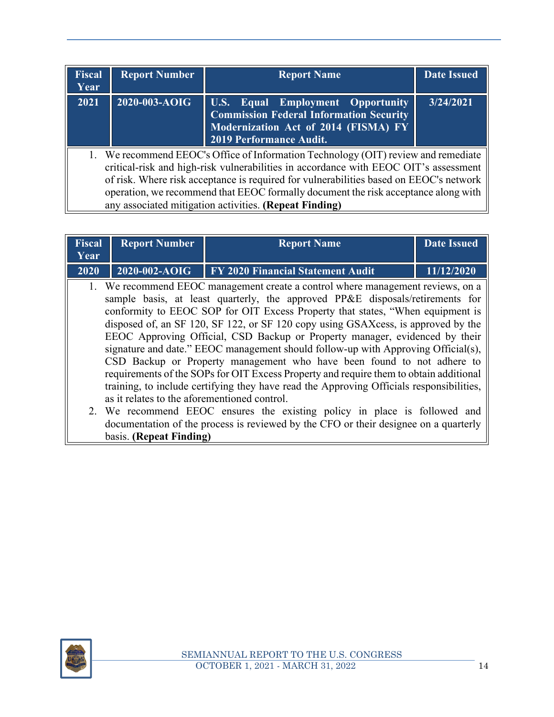| <b>Fiscal</b><br>Year | <b>Report Number</b>                                                                                                                                                                                                                                                                                                                                                                                                 | <b>Report Name</b>                                                                                                                                     | <b>Date Issued</b> |  |  |
|-----------------------|----------------------------------------------------------------------------------------------------------------------------------------------------------------------------------------------------------------------------------------------------------------------------------------------------------------------------------------------------------------------------------------------------------------------|--------------------------------------------------------------------------------------------------------------------------------------------------------|--------------------|--|--|
| 2021                  | 2020-003-AOIG                                                                                                                                                                                                                                                                                                                                                                                                        | U.S. Equal Employment Opportunity<br><b>Commission Federal Information Security</b><br>Modernization Act of 2014 (FISMA) FY<br>2019 Performance Audit. | 3/24/2021          |  |  |
|                       | 1. We recommend EEOC's Office of Information Technology (OIT) review and remediate<br>critical-risk and high-risk vulnerabilities in accordance with EEOC OIT's assessment<br>of risk. Where risk acceptance is required for vulnerabilities based on EEOC's network<br>operation, we recommend that EEOC formally document the risk acceptance along with<br>any associated mitigation activities. (Repeat Finding) |                                                                                                                                                        |                    |  |  |

| Fiscal<br>Year | <b>Report Number</b><br><b>Report Name</b>   |                                                                                                                                                                                                                                                                                                                                                                                                                                                                                                                                                                                                                                                                                                                                                                             |            |  |  |  |  |  |
|----------------|----------------------------------------------|-----------------------------------------------------------------------------------------------------------------------------------------------------------------------------------------------------------------------------------------------------------------------------------------------------------------------------------------------------------------------------------------------------------------------------------------------------------------------------------------------------------------------------------------------------------------------------------------------------------------------------------------------------------------------------------------------------------------------------------------------------------------------------|------------|--|--|--|--|--|
| 2020           | $2020 - 002 - AOIG$                          | FY 2020 Financial Statement Audit                                                                                                                                                                                                                                                                                                                                                                                                                                                                                                                                                                                                                                                                                                                                           | 11/12/2020 |  |  |  |  |  |
|                | as it relates to the aforementioned control. | 1. We recommend EEOC management create a control where management reviews, on a<br>sample basis, at least quarterly, the approved PP&E disposals/retirements for<br>conformity to EEOC SOP for OIT Excess Property that states, "When equipment is<br>disposed of, an SF 120, SF 122, or SF 120 copy using GSAXcess, is approved by the<br>EEOC Approving Official, CSD Backup or Property manager, evidenced by their<br>signature and date." EEOC management should follow-up with Approving Official(s),<br>CSD Backup or Property management who have been found to not adhere to<br>requirements of the SOPs for OIT Excess Property and require them to obtain additional<br>training, to include certifying they have read the Approving Officials responsibilities, |            |  |  |  |  |  |
|                |                                              | 2. We recommend EEOC ensures the existing policy in place is followed and                                                                                                                                                                                                                                                                                                                                                                                                                                                                                                                                                                                                                                                                                                   |            |  |  |  |  |  |

documentation of the process is reviewed by the CFO or their designee on a quarterly



basis. **(Repeat Finding)**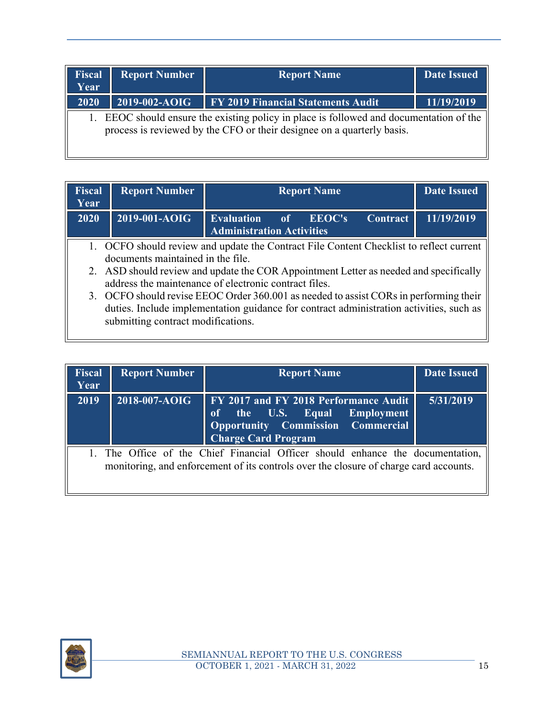| <b>Fiscal</b><br>Year | <b>Report Number</b> | <b>Report Name</b>                                                                                                                                             | <b>Date Issued</b> |
|-----------------------|----------------------|----------------------------------------------------------------------------------------------------------------------------------------------------------------|--------------------|
| 2020                  | 2019-002-AOIG        | <b>FY 2019 Financial Statements Audit</b>                                                                                                                      | 11/19/2019         |
|                       |                      | EEOC should ensure the existing policy in place is followed and documentation of the<br>process is reviewed by the CFO or their designee on a quarterly basis. |                    |

| Year | <b>Fiscal Report Number</b>                                                          | <b>Report Name</b>                       |  |  | <b>Date Issued</b> |  |
|------|--------------------------------------------------------------------------------------|------------------------------------------|--|--|--------------------|--|
| 2020 | $\sqrt{2019-001-AOIG}$                                                               | Evaluation of EEOC's Contract 11/19/2019 |  |  |                    |  |
|      | OCEO should review and undate the Contract File Content Checklist to reflect current |                                          |  |  |                    |  |

- O should review and update the Contract File Content Checklist to documents maintained in the file.
- 2. ASD should review and update the COR Appointment Letter as needed and specifically address the maintenance of electronic contract files.
- 3. OCFO should revise EEOC Order 360.001 as needed to assist CORs in performing their duties. Include implementation guidance for contract administration activities, such as submitting contract modifications.

| <b>Fiscal</b><br>Year | <b>Report Number</b> | <b>Report Name</b>                                                                                                                                                      | <b>Date Issued</b> |
|-----------------------|----------------------|-------------------------------------------------------------------------------------------------------------------------------------------------------------------------|--------------------|
| 2019                  | 2018-007-AOIG        | <b>FY 2017 and FY 2018 Performance Audit</b><br>of the U.S. Equal Employment<br>Opportunity Commission Commercial<br><b>Charge Card Program</b>                         | 5/31/2019          |
|                       |                      | 1. The Office of the Chief Financial Officer should enhance the documentation,<br>monitoring, and enforcement of its controls over the closure of charge card accounts. |                    |

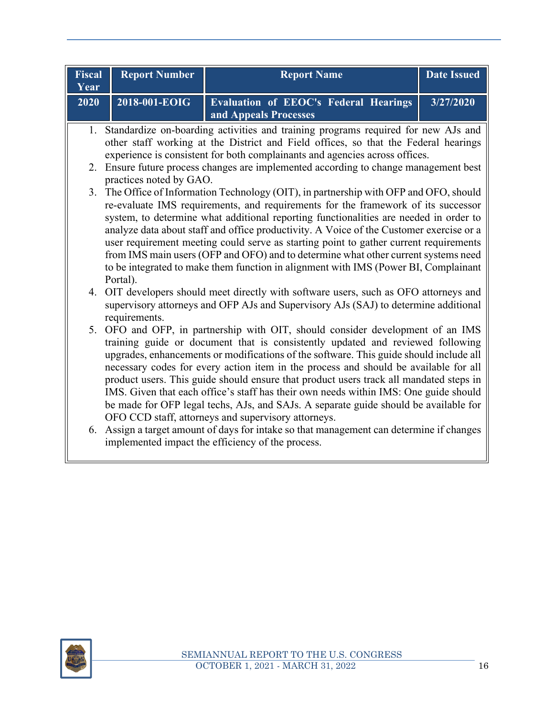| <b>Fiscal</b><br>Year | <b>Report Number</b>                                                                                                                                                                                                                                       | <b>Report Name</b>                                                                                                                                                                                                                                                                                                                                                                                                                                                                                                                                                                                                                                                                  | <b>Date Issued</b> |  |  |  |
|-----------------------|------------------------------------------------------------------------------------------------------------------------------------------------------------------------------------------------------------------------------------------------------------|-------------------------------------------------------------------------------------------------------------------------------------------------------------------------------------------------------------------------------------------------------------------------------------------------------------------------------------------------------------------------------------------------------------------------------------------------------------------------------------------------------------------------------------------------------------------------------------------------------------------------------------------------------------------------------------|--------------------|--|--|--|
| 2020                  | 2018-001-EOIG                                                                                                                                                                                                                                              | <b>Evaluation of EEOC's Federal Hearings</b><br>and Appeals Processes                                                                                                                                                                                                                                                                                                                                                                                                                                                                                                                                                                                                               | 3/27/2020          |  |  |  |
|                       | 1. Standardize on-boarding activities and training programs required for new AJs and<br>other staff working at the District and Field offices, so that the Federal hearings<br>experience is consistent for both complainants and agencies across offices. |                                                                                                                                                                                                                                                                                                                                                                                                                                                                                                                                                                                                                                                                                     |                    |  |  |  |
| 2.                    | practices noted by GAO.                                                                                                                                                                                                                                    | Ensure future process changes are implemented according to change management best                                                                                                                                                                                                                                                                                                                                                                                                                                                                                                                                                                                                   |                    |  |  |  |
|                       | Portal).                                                                                                                                                                                                                                                   | 3. The Office of Information Technology (OIT), in partnership with OFP and OFO, should<br>re-evaluate IMS requirements, and requirements for the framework of its successor<br>system, to determine what additional reporting functionalities are needed in order to<br>analyze data about staff and office productivity. A Voice of the Customer exercise or a<br>user requirement meeting could serve as starting point to gather current requirements<br>from IMS main users (OFP and OFO) and to determine what other current systems need<br>to be integrated to make them function in alignment with IMS (Power BI, Complainant                                               |                    |  |  |  |
|                       | requirements.                                                                                                                                                                                                                                              | 4. OIT developers should meet directly with software users, such as OFO attorneys and<br>supervisory attorneys and OFP AJs and Supervisory AJs (SAJ) to determine additional                                                                                                                                                                                                                                                                                                                                                                                                                                                                                                        |                    |  |  |  |
|                       |                                                                                                                                                                                                                                                            | 5. OFO and OFP, in partnership with OIT, should consider development of an IMS<br>training guide or document that is consistently updated and reviewed following<br>upgrades, enhancements or modifications of the software. This guide should include all<br>necessary codes for every action item in the process and should be available for all<br>product users. This guide should ensure that product users track all mandated steps in<br>IMS. Given that each office's staff has their own needs within IMS: One guide should<br>be made for OFP legal techs, AJs, and SAJs. A separate guide should be available for<br>OFO CCD staff, attorneys and supervisory attorneys. |                    |  |  |  |
|                       |                                                                                                                                                                                                                                                            | 6. Assign a target amount of days for intake so that management can determine if changes<br>implemented impact the efficiency of the process.                                                                                                                                                                                                                                                                                                                                                                                                                                                                                                                                       |                    |  |  |  |

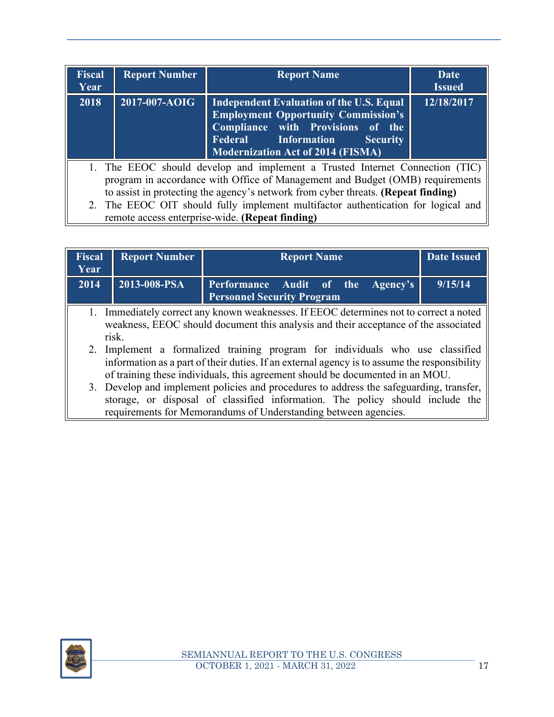| <b>Fiscal</b><br>Year | <b>Report Number</b>                                                                                                                                                                                                                                                                                                                                                                       | <b>Report Name</b>                                                                                                                                                                                                              | Date<br><b>Issued</b> |  |  |
|-----------------------|--------------------------------------------------------------------------------------------------------------------------------------------------------------------------------------------------------------------------------------------------------------------------------------------------------------------------------------------------------------------------------------------|---------------------------------------------------------------------------------------------------------------------------------------------------------------------------------------------------------------------------------|-----------------------|--|--|
| 2018                  | 2017-007-AOIG                                                                                                                                                                                                                                                                                                                                                                              | <b>Independent Evaluation of the U.S. Equal</b><br><b>Employment Opportunity Commission's</b><br>Compliance with Provisions of the<br><b>Federal</b> Information<br><b>Security</b><br><b>Modernization Act of 2014 (FISMA)</b> | 12/18/2017            |  |  |
|                       | 1. The EEOC should develop and implement a Trusted Internet Connection (TIC)<br>program in accordance with Office of Management and Budget (OMB) requirements<br>to assist in protecting the agency's network from cyber threats. (Repeat finding)<br>2. The EEOC OIT should fully implement multifactor authentication for logical and<br>remote access enterprise-wide. (Repeat finding) |                                                                                                                                                                                                                                 |                       |  |  |

| <b>Fiscal</b><br>Year                                                                                                                                                                                                                                                                                                                                                                                                        | <b>Report Number</b> | <b>Report Name</b><br><b>Date Issued</b>                               |         |
|------------------------------------------------------------------------------------------------------------------------------------------------------------------------------------------------------------------------------------------------------------------------------------------------------------------------------------------------------------------------------------------------------------------------------|----------------------|------------------------------------------------------------------------|---------|
| 2014                                                                                                                                                                                                                                                                                                                                                                                                                         | 2013-008-PSA         | Performance Audit of the Agency's<br><b>Personnel Security Program</b> | 9/15/14 |
| 1. Immediately correct any known weaknesses. If EEOC determines not to correct a noted<br>weakness, EEOC should document this analysis and their acceptance of the associated<br>risk.<br>2. Implement a formalized training program for individuals who use classified                                                                                                                                                      |                      |                                                                        |         |
| information as a part of their duties. If an external agency is to assume the responsibility<br>of training these individuals, this agreement should be documented in an MOU.<br>3. Develop and implement policies and procedures to address the safeguarding, transfer,<br>storage, or disposal of classified information. The policy should include the<br>requirements for Memorandums of Understanding between agencies. |                      |                                                                        |         |

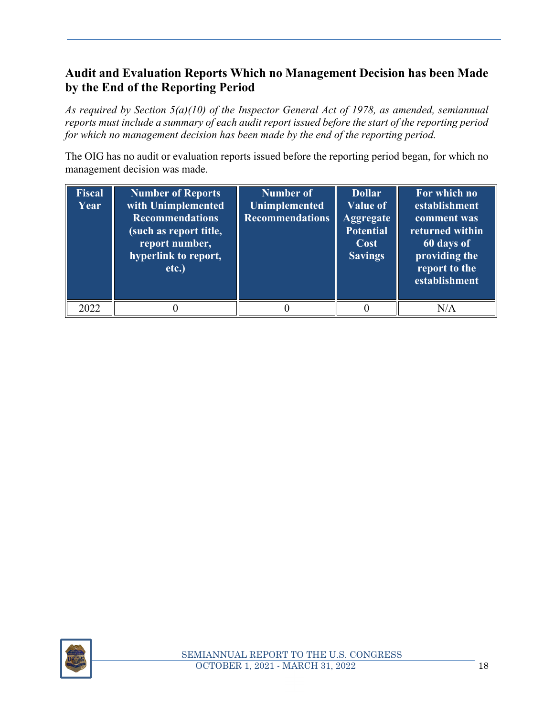# **Audit and Evaluation Reports Which no Management Decision has been Made by the End of the Reporting Period**

*As required by Section 5(a)(10) of the Inspector General Act of 1978, as amended, semiannual reports must include a summary of each audit report issued before the start of the reporting period for which no management decision has been made by the end of the reporting period.* 

The OIG has no audit or evaluation reports issued before the reporting period began, for which no management decision was made.

| <b>Fiscal</b><br>Year | <b>Number of Reports</b><br>with Unimplemented<br><b>Recommendations</b><br>(such as report title,<br>report number,<br>hyperlink to report,<br>etc.) | <b>Number of</b><br><b>Unimplemented</b><br><b>Recommendations</b> | <b>Dollar</b><br><b>Value of</b><br><b>Aggregate</b><br><b>Potential</b><br>Cost<br><b>Savings</b> | For which no<br>establishment<br>comment was<br>returned within<br>60 days of<br>providing the<br>report to the<br>establishment |
|-----------------------|-------------------------------------------------------------------------------------------------------------------------------------------------------|--------------------------------------------------------------------|----------------------------------------------------------------------------------------------------|----------------------------------------------------------------------------------------------------------------------------------|
| 2022                  |                                                                                                                                                       |                                                                    |                                                                                                    | N/A                                                                                                                              |

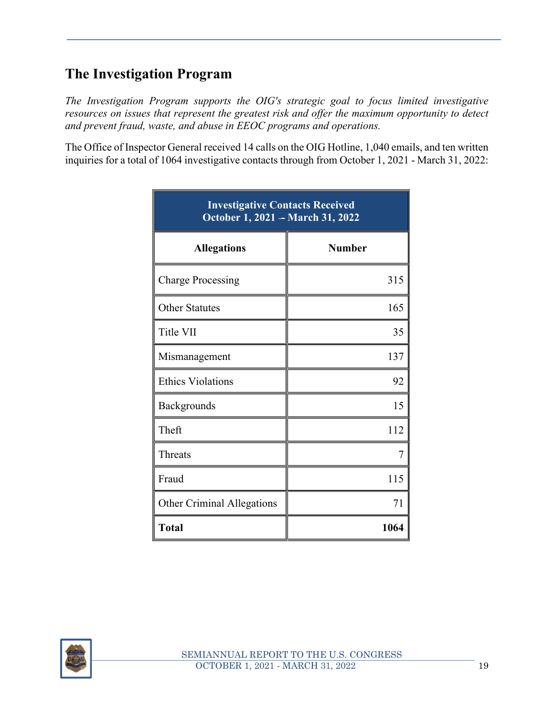# **The Investigation Program**

*The Investigation Program supports the OIG's strategic goal to focus limited investigative resources on issues that represent the greatest risk and offer the maximum opportunity to detect and prevent fraud, waste, and abuse in EEOC programs and operations.* 

The Office of Inspector General received 14 calls on the OIG Hotline, 1,040 emails, and ten written inquiries for a total of 1064 investigative contacts through from October 1, 2021 - March 31, 2022:

| <b>Investigative Contacts Received</b><br>October 1, 2021 - March 31, 2022 |               |  |
|----------------------------------------------------------------------------|---------------|--|
| <b>Allegations</b>                                                         | <b>Number</b> |  |
| <b>Charge Processing</b>                                                   | 315           |  |
| <b>Other Statutes</b>                                                      | 165           |  |
| Title VII                                                                  | 35            |  |
| Mismanagement                                                              | 137           |  |
| <b>Ethics Violations</b>                                                   | 92            |  |
| Backgrounds                                                                | 15            |  |
| Theft                                                                      | 112           |  |
| Threats                                                                    | 7             |  |
| Fraud                                                                      | 115           |  |
| <b>Other Criminal Allegations</b>                                          | 71            |  |
| <b>Total</b>                                                               | 1064          |  |

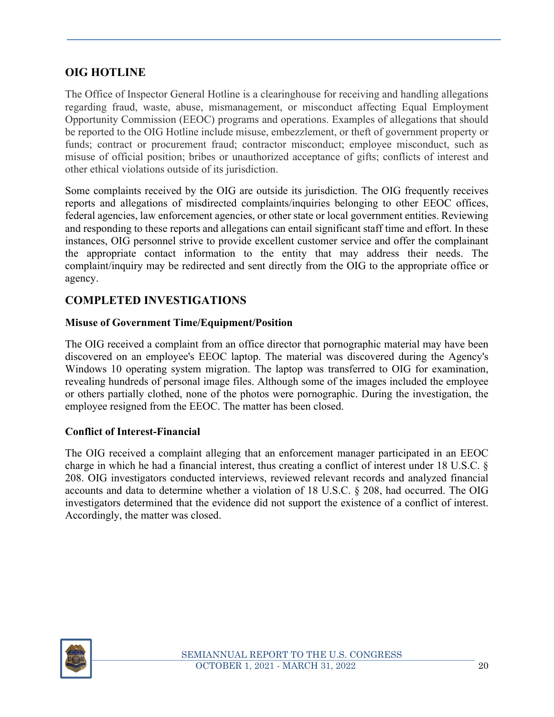#### **OIG HOTLINE**

The Office of Inspector General Hotline is a clearinghouse for receiving and handling allegations regarding fraud, waste, abuse, mismanagement, or misconduct affecting Equal Employment Opportunity Commission (EEOC) programs and operations. Examples of allegations that should be reported to the OIG Hotline include misuse, embezzlement, or theft of government property or funds; contract or procurement fraud; contractor misconduct; employee misconduct, such as misuse of official position; bribes or unauthorized acceptance of gifts; conflicts of interest and other ethical violations outside of its jurisdiction.

Some complaints received by the OIG are outside its jurisdiction. The OIG frequently receives reports and allegations of misdirected complaints/inquiries belonging to other EEOC offices, federal agencies, law enforcement agencies, or other state or local government entities. Reviewing and responding to these reports and allegations can entail significant staff time and effort. In these instances, OIG personnel strive to provide excellent customer service and offer the complainant the appropriate contact information to the entity that may address their needs. The complaint/inquiry may be redirected and sent directly from the OIG to the appropriate office or agency.

#### **COMPLETED INVESTIGATIONS**

#### **Misuse of Government Time/Equipment/Position**

The OIG received a complaint from an office director that pornographic material may have been discovered on an employee's EEOC laptop. The material was discovered during the Agency's Windows 10 operating system migration. The laptop was transferred to OIG for examination, revealing hundreds of personal image files. Although some of the images included the employee or others partially clothed, none of the photos were pornographic. During the investigation, the employee resigned from the EEOC. The matter has been closed.

#### **Conflict of Interest-Financial**

The OIG received a complaint alleging that an enforcement manager participated in an EEOC charge in which he had a financial interest, thus creating a conflict of interest under 18 U.S.C. § 208. OIG investigators conducted interviews, reviewed relevant records and analyzed financial accounts and data to determine whether a violation of 18 U.S.C. § 208, had occurred. The OIG investigators determined that the evidence did not support the existence of a conflict of interest. Accordingly, the matter was closed.

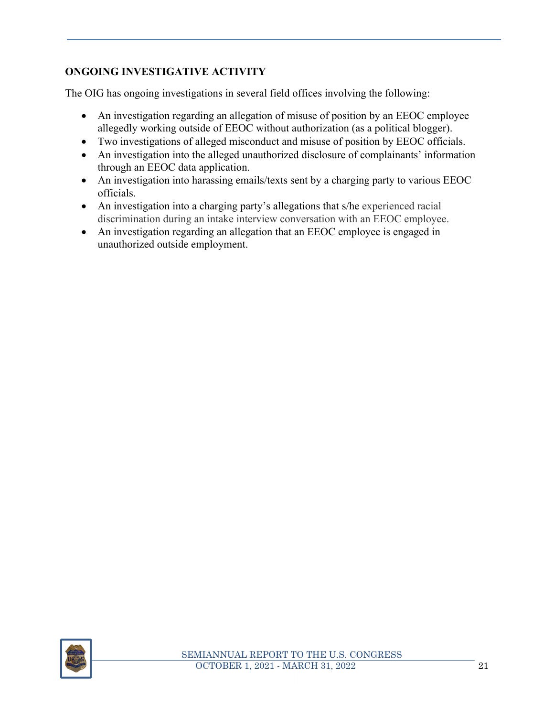#### **ONGOING INVESTIGATIVE ACTIVITY**

The OIG has ongoing investigations in several field offices involving the following:

- An investigation regarding an allegation of misuse of position by an EEOC employee allegedly working outside of EEOC without authorization (as a political blogger).
- Two investigations of alleged misconduct and misuse of position by EEOC officials.
- An investigation into the alleged unauthorized disclosure of complainants' information through an EEOC data application.
- An investigation into harassing emails/texts sent by a charging party to various EEOC officials.
- An investigation into a charging party's allegations that s/he experienced racial discrimination during an intake interview conversation with an EEOC employee.
- An investigation regarding an allegation that an EEOC employee is engaged in unauthorized outside employment.

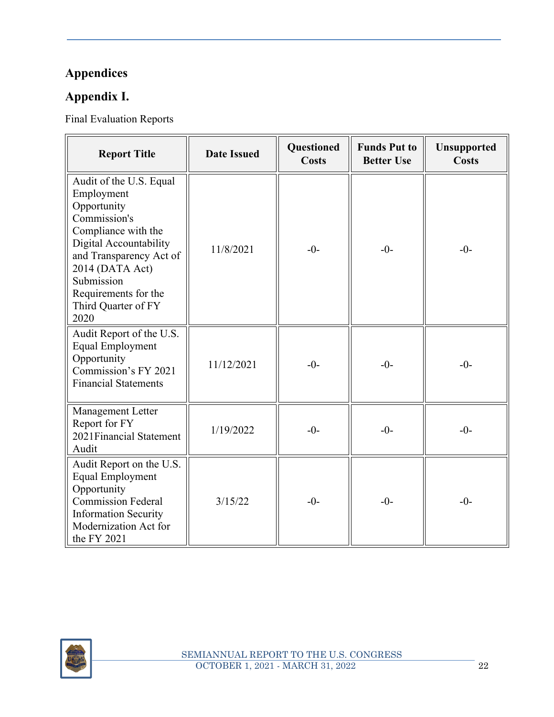# **Appendices**

# **Appendix I.**

Final Evaluation Reports

| <b>Report Title</b>                                                                                                                                                                                                                      | <b>Date Issued</b> | <b>Questioned</b><br><b>Costs</b> | <b>Funds Put to</b><br><b>Better Use</b> | <b>Unsupported</b><br><b>Costs</b> |
|------------------------------------------------------------------------------------------------------------------------------------------------------------------------------------------------------------------------------------------|--------------------|-----------------------------------|------------------------------------------|------------------------------------|
| Audit of the U.S. Equal<br>Employment<br>Opportunity<br>Commission's<br>Compliance with the<br>Digital Accountability<br>and Transparency Act of<br>2014 (DATA Act)<br>Submission<br>Requirements for the<br>Third Quarter of FY<br>2020 | 11/8/2021          | $-0-$                             | $-0-$                                    | $-0-$                              |
| Audit Report of the U.S.<br><b>Equal Employment</b><br>Opportunity<br>Commission's FY 2021<br><b>Financial Statements</b>                                                                                                                | 11/12/2021         | $-0-$                             | $-0-$                                    | $-0-$                              |
| Management Letter<br>Report for FY<br>2021 Financial Statement<br>Audit                                                                                                                                                                  | 1/19/2022          | $-0-$                             | $-0-$                                    | $-0-$                              |
| Audit Report on the U.S.<br><b>Equal Employment</b><br>Opportunity<br><b>Commission Federal</b><br><b>Information Security</b><br>Modernization Act for<br>the FY 2021                                                                   | 3/15/22            | $-0-$                             | $-0-$                                    | $-0-$                              |

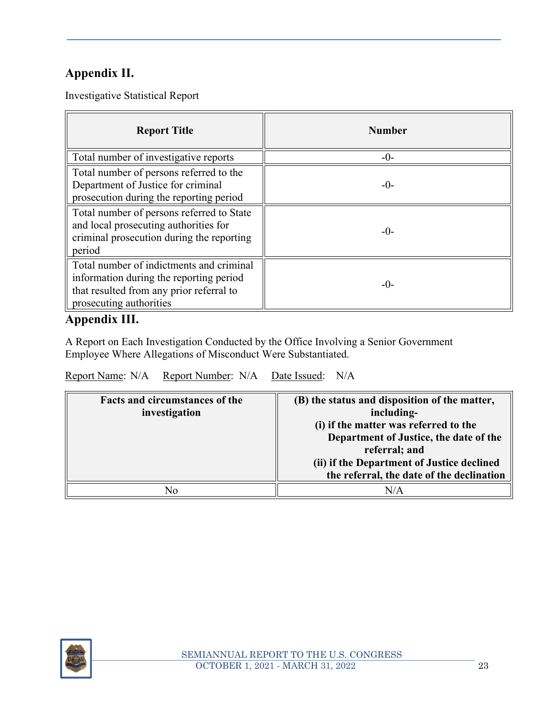# **Appendix II.**

Investigative Statistical Report

| <b>Report Title</b>                                                                                                                                        | <b>Number</b> |
|------------------------------------------------------------------------------------------------------------------------------------------------------------|---------------|
| Total number of investigative reports                                                                                                                      | $-()$ -       |
| Total number of persons referred to the<br>Department of Justice for criminal<br>prosecution during the reporting period                                   | $-()$ -       |
| Total number of persons referred to State<br>and local prosecuting authorities for<br>criminal prosecution during the reporting<br>period                  | $-()$ -       |
| Total number of indictments and criminal<br>information during the reporting period<br>that resulted from any prior referral to<br>prosecuting authorities | $-0-$         |

#### **Appendix III.**

A Report on Each Investigation Conducted by the Office Involving a Senior Government Employee Where Allegations of Misconduct Were Substantiated.

Report Name: N/A Report Number: N/A Date Issued: N/A

| Facts and circumstances of the<br>investigation | (B) the status and disposition of the matter,<br>including-<br>(i) if the matter was referred to the<br>Department of Justice, the date of the<br>referral; and<br>(ii) if the Department of Justice declined |
|-------------------------------------------------|---------------------------------------------------------------------------------------------------------------------------------------------------------------------------------------------------------------|
|                                                 | the referral, the date of the declination                                                                                                                                                                     |
|                                                 |                                                                                                                                                                                                               |
| N٥                                              | N/A                                                                                                                                                                                                           |

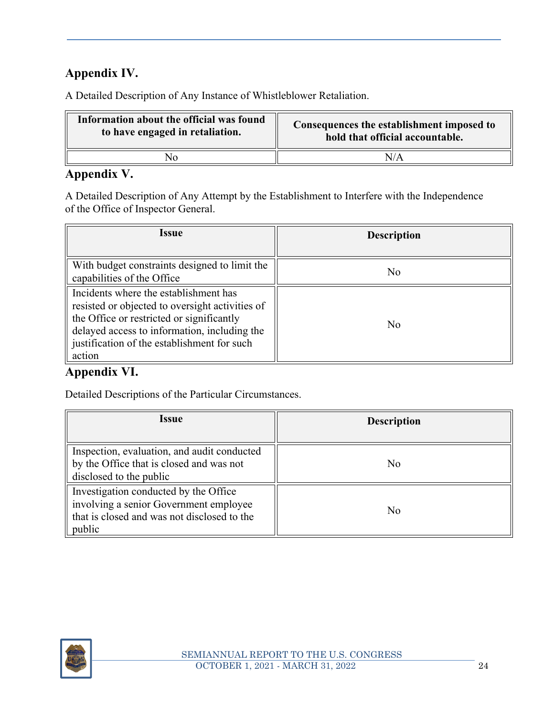# **Appendix IV.**

A Detailed Description of Any Instance of Whistleblower Retaliation.

| Information about the official was found | Consequences the establishment imposed to |  |
|------------------------------------------|-------------------------------------------|--|
| to have engaged in retaliation.          | hold that official accountable.           |  |
|                                          | N/A                                       |  |

# **Appendix V.**

A Detailed Description of Any Attempt by the Establishment to Interfere with the Independence of the Office of Inspector General.

| Issue                                                                                                                                                                                                                                          | <b>Description</b> |
|------------------------------------------------------------------------------------------------------------------------------------------------------------------------------------------------------------------------------------------------|--------------------|
| With budget constraints designed to limit the<br>capabilities of the Office                                                                                                                                                                    | No                 |
| Incidents where the establishment has<br>resisted or objected to oversight activities of<br>the Office or restricted or significantly<br>delayed access to information, including the<br>justification of the establishment for such<br>action | No                 |

# **Appendix VI.**

Detailed Descriptions of the Particular Circumstances.

| <i><b>Issue</b></i>                                                                                                                      | <b>Description</b> |
|------------------------------------------------------------------------------------------------------------------------------------------|--------------------|
| Inspection, evaluation, and audit conducted<br>by the Office that is closed and was not<br>disclosed to the public                       | No                 |
| Investigation conducted by the Office<br>involving a senior Government employee<br>that is closed and was not disclosed to the<br>public | No                 |

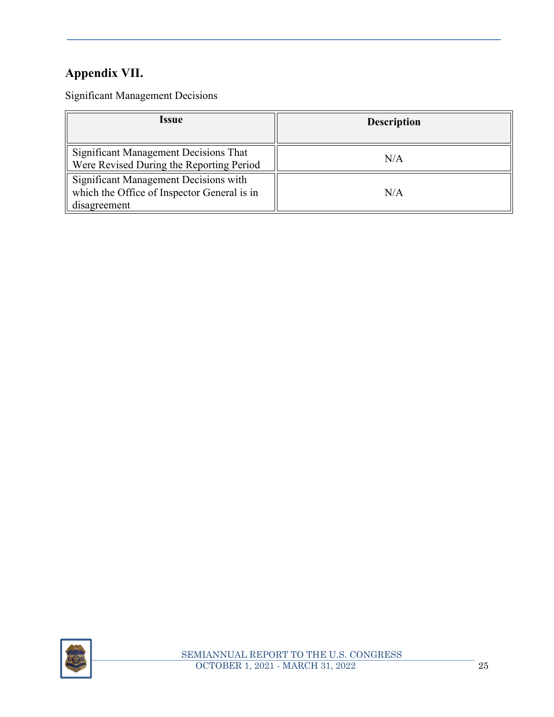# **Appendix VII.**

Significant Management Decisions

| <i><b>Issue</b></i>                                                                                  | <b>Description</b> |
|------------------------------------------------------------------------------------------------------|--------------------|
| Significant Management Decisions That<br>Were Revised During the Reporting Period                    | N/A                |
| Significant Management Decisions with<br>which the Office of Inspector General is in<br>disagreement | N/A                |

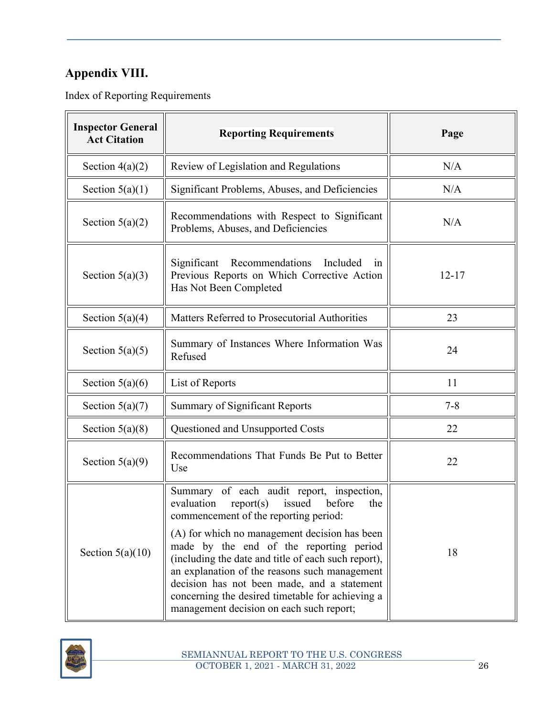# **Appendix VIII.**

Index of Reporting Requirements

| <b>Inspector General</b><br><b>Act Citation</b> | <b>Reporting Requirements</b>                                                                                                                                                                                                                                                                                                                                                                                                                                                               | Page      |
|-------------------------------------------------|---------------------------------------------------------------------------------------------------------------------------------------------------------------------------------------------------------------------------------------------------------------------------------------------------------------------------------------------------------------------------------------------------------------------------------------------------------------------------------------------|-----------|
| Section $4(a)(2)$                               | Review of Legislation and Regulations                                                                                                                                                                                                                                                                                                                                                                                                                                                       | N/A       |
| Section $5(a)(1)$                               | Significant Problems, Abuses, and Deficiencies                                                                                                                                                                                                                                                                                                                                                                                                                                              | N/A       |
| Section $5(a)(2)$                               | Recommendations with Respect to Significant<br>Problems, Abuses, and Deficiencies                                                                                                                                                                                                                                                                                                                                                                                                           | N/A       |
| Section $5(a)(3)$                               | Significant<br>Recommendations<br>Included<br>in<br>Previous Reports on Which Corrective Action<br>Has Not Been Completed                                                                                                                                                                                                                                                                                                                                                                   | $12 - 17$ |
| Section $5(a)(4)$                               | Matters Referred to Prosecutorial Authorities                                                                                                                                                                                                                                                                                                                                                                                                                                               | 23        |
| Section $5(a)(5)$                               | Summary of Instances Where Information Was<br>Refused                                                                                                                                                                                                                                                                                                                                                                                                                                       | 24        |
| Section $5(a)(6)$                               | List of Reports                                                                                                                                                                                                                                                                                                                                                                                                                                                                             | 11        |
| Section $5(a)(7)$                               | <b>Summary of Significant Reports</b>                                                                                                                                                                                                                                                                                                                                                                                                                                                       | $7 - 8$   |
| Section $5(a)(8)$                               | Questioned and Unsupported Costs                                                                                                                                                                                                                                                                                                                                                                                                                                                            | 22        |
| Section $5(a)(9)$                               | Recommendations That Funds Be Put to Better<br>Use                                                                                                                                                                                                                                                                                                                                                                                                                                          | 22        |
| Section $5(a)(10)$                              | Summary of each audit report, inspection,<br>evaluation<br>issued<br>report(s)<br>before<br>the<br>commencement of the reporting period:<br>(A) for which no management decision has been<br>made by the end of the reporting period<br>(including the date and title of each such report),<br>an explanation of the reasons such management<br>decision has not been made, and a statement<br>concerning the desired timetable for achieving a<br>management decision on each such report; | 18        |

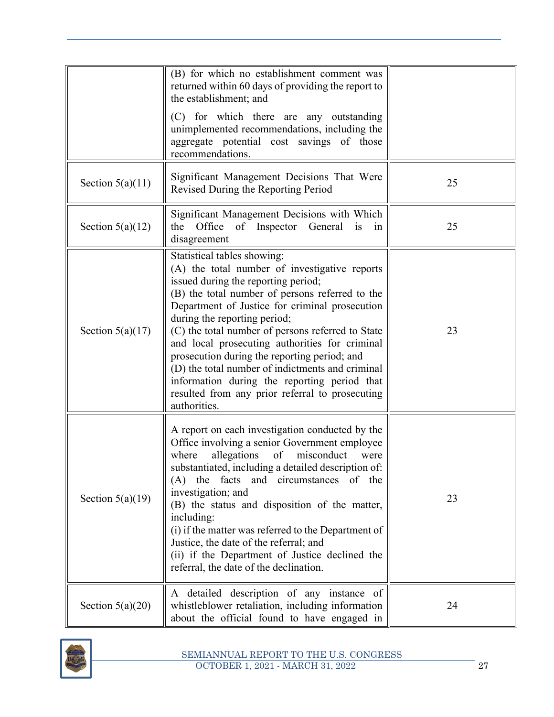|                    | (B) for which no establishment comment was<br>returned within 60 days of providing the report to<br>the establishment; and<br>(C) for which there are any outstanding<br>unimplemented recommendations, including the<br>aggregate potential cost savings of those<br>recommendations.                                                                                                                                                                                                                                                                                                 |    |
|--------------------|----------------------------------------------------------------------------------------------------------------------------------------------------------------------------------------------------------------------------------------------------------------------------------------------------------------------------------------------------------------------------------------------------------------------------------------------------------------------------------------------------------------------------------------------------------------------------------------|----|
| Section $5(a)(11)$ | Significant Management Decisions That Were<br>Revised During the Reporting Period                                                                                                                                                                                                                                                                                                                                                                                                                                                                                                      | 25 |
| Section $5(a)(12)$ | Significant Management Decisions with Which<br>Office<br>of Inspector<br>General<br>the<br>1S<br>in<br>disagreement                                                                                                                                                                                                                                                                                                                                                                                                                                                                    | 25 |
| Section $5(a)(17)$ | Statistical tables showing:<br>(A) the total number of investigative reports<br>issued during the reporting period;<br>(B) the total number of persons referred to the<br>Department of Justice for criminal prosecution<br>during the reporting period;<br>(C) the total number of persons referred to State<br>and local prosecuting authorities for criminal<br>prosecution during the reporting period; and<br>(D) the total number of indictments and criminal<br>information during the reporting period that<br>resulted from any prior referral to prosecuting<br>authorities. | 23 |
| Section $5(a)(19)$ | A report on each investigation conducted by the<br>Office involving a senior Government employee<br>misconduct<br>allegations<br>of<br>where<br>were<br>substantiated, including a detailed description of:<br>(A) the facts and circumstances of the<br>investigation; and<br>(B) the status and disposition of the matter,<br>including:<br>(i) if the matter was referred to the Department of<br>Justice, the date of the referral; and<br>(ii) if the Department of Justice declined the<br>referral, the date of the declination.                                                | 23 |
| Section $5(a)(20)$ | A detailed description of any instance of<br>whistleblower retaliation, including information<br>about the official found to have engaged in                                                                                                                                                                                                                                                                                                                                                                                                                                           | 24 |

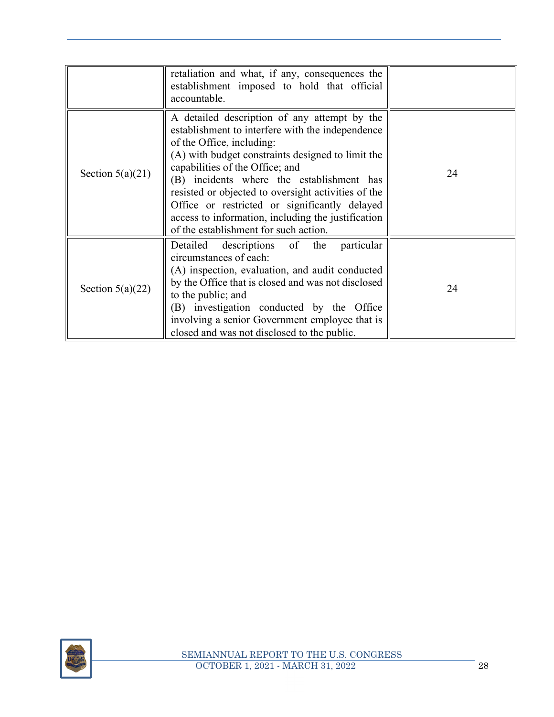|                    | retaliation and what, if any, consequences the<br>establishment imposed to hold that official<br>accountable.                                                                                                                                                                                                                                                                                                                                                             |    |
|--------------------|---------------------------------------------------------------------------------------------------------------------------------------------------------------------------------------------------------------------------------------------------------------------------------------------------------------------------------------------------------------------------------------------------------------------------------------------------------------------------|----|
| Section $5(a)(21)$ | A detailed description of any attempt by the<br>establishment to interfere with the independence<br>of the Office, including:<br>(A) with budget constraints designed to limit the<br>capabilities of the Office; and<br>(B) incidents where the establishment has<br>resisted or objected to oversight activities of the<br>Office or restricted or significantly delayed<br>access to information, including the justification<br>of the establishment for such action. | 24 |
| Section $5(a)(22)$ | Detailed descriptions of the<br>particular<br>circumstances of each:<br>(A) inspection, evaluation, and audit conducted<br>by the Office that is closed and was not disclosed<br>to the public; and<br>(B) investigation conducted by the Office<br>involving a senior Government employee that is<br>closed and was not disclosed to the public.                                                                                                                         | 24 |

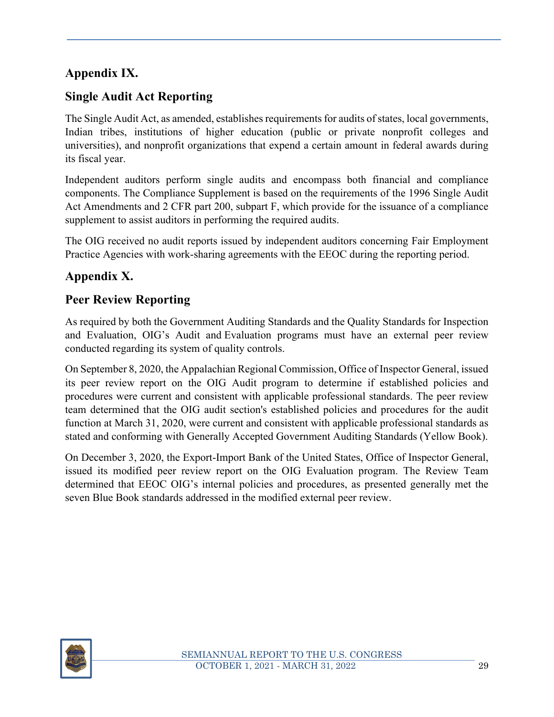# **Appendix IX.**

# **Single Audit Act Reporting**

The Single Audit Act, as amended, establishes requirements for audits of states, local governments, Indian tribes, institutions of higher education (public or private nonprofit colleges and universities), and nonprofit organizations that expend a certain amount in federal awards during its fiscal year.

Independent auditors perform single audits and encompass both financial and compliance components. The Compliance Supplement is based on the requirements of the 1996 Single Audit Act Amendments and 2 CFR part 200, subpart F, which provide for the issuance of a compliance supplement to assist auditors in performing the required audits.

The OIG received no audit reports issued by independent auditors concerning Fair Employment Practice Agencies with work-sharing agreements with the EEOC during the reporting period.

# **Appendix X.**

# **Peer Review Reporting**

As required by both the Government Auditing Standards and the Quality Standards for Inspection and Evaluation, OIG's Audit and Evaluation programs must have an external peer review conducted regarding its system of quality controls.

On September 8, 2020, the Appalachian Regional Commission, Office of Inspector General, issued its peer review report on the OIG Audit program to determine if established policies and procedures were current and consistent with applicable professional standards. The peer review team determined that the OIG audit section's established policies and procedures for the audit function at March 31, 2020, were current and consistent with applicable professional standards as stated and conforming with Generally Accepted Government Auditing Standards (Yellow Book).

On December 3, 2020, the Export-Import Bank of the United States, Office of Inspector General, issued its modified peer review report on the OIG Evaluation program. The Review Team determined that EEOC OIG's internal policies and procedures, as presented generally met the seven Blue Book standards addressed in the modified external peer review.